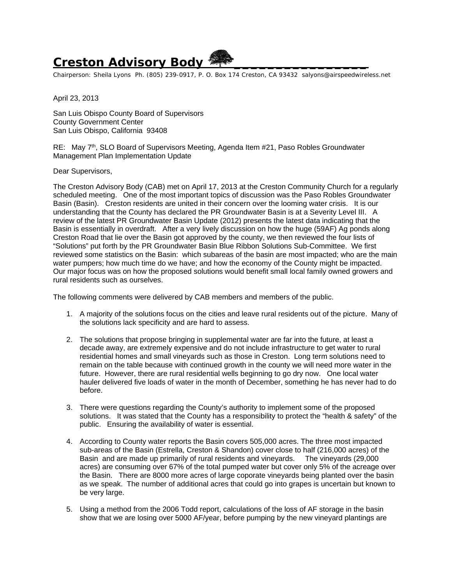## **Creston Advisory Body \_\_\_\_\_\_\_\_\_\_\_\_\_\_\_\_**

Chairperson: Sheila Lyons Ph. (805) 239-0917, P. O. Box 174 Creston, CA 93432 salyons@airspeedwireless.net

April 23, 2013

San Luis Obispo County Board of Supervisors County Government Center San Luis Obispo, California 93408

RE: May 7<sup>th</sup>, SLO Board of Supervisors Meeting, Agenda Item #21, Paso Robles Groundwater Management Plan Implementation Update

Dear Supervisors,

The Creston Advisory Body (CAB) met on April 17, 2013 at the Creston Community Church for a regularly scheduled meeting. One of the most important topics of discussion was the Paso Robles Groundwater Basin (Basin). Creston residents are united in their concern over the looming water crisis. It is our understanding that the County has declared the PR Groundwater Basin is at a Severity Level III. A review of the latest PR Groundwater Basin Update (2012) presents the latest data indicating that the Basin is essentially in overdraft. After a very lively discussion on how the huge (59AF) Ag ponds along Creston Road that lie over the Basin got approved by the county, we then reviewed the four lists of "Solutions" put forth by the PR Groundwater Basin Blue Ribbon Solutions Sub-Committee. We first reviewed some statistics on the Basin: which subareas of the basin are most impacted; who are the main water pumpers; how much time do we have; and how the economy of the County might be impacted. Our major focus was on how the proposed solutions would benefit small local family owned growers and rural residents such as ourselves.

The following comments were delivered by CAB members and members of the public.

- 1. A majority of the solutions focus on the cities and leave rural residents out of the picture. Many of the solutions lack specificity and are hard to assess.
- 2. The solutions that propose bringing in supplemental water are far into the future, at least a decade away, are extremely expensive and do not include infrastructure to get water to rural residential homes and small vineyards such as those in Creston. Long term solutions need to remain on the table because with continued growth in the county we will need more water in the future. However, there are rural residential wells beginning to go dry now. One local water hauler delivered five loads of water in the month of December, something he has never had to do before.
- 3. There were questions regarding the County's authority to implement some of the proposed solutions. It was stated that the County has a responsibility to protect the "health & safety" of the public. Ensuring the availability of water is essential.
- 4. According to County water reports the Basin covers 505,000 acres. The three most impacted sub-areas of the Basin (Estrella, Creston & Shandon) cover close to half (216,000 acres) of the Basin and are made up primarily of rural residents and vineyards. The vineyards (29,000 acres) are consuming over 67% of the total pumped water but cover only 5% of the acreage over the Basin. There are 8000 more acres of large coporate vineyards being planted over the basin as we speak. The number of additional acres that could go into grapes is uncertain but known to be very large.
- 5. Using a method from the 2006 Todd report, calculations of the loss of AF storage in the basin show that we are losing over 5000 AF/year, before pumping by the new vineyard plantings are